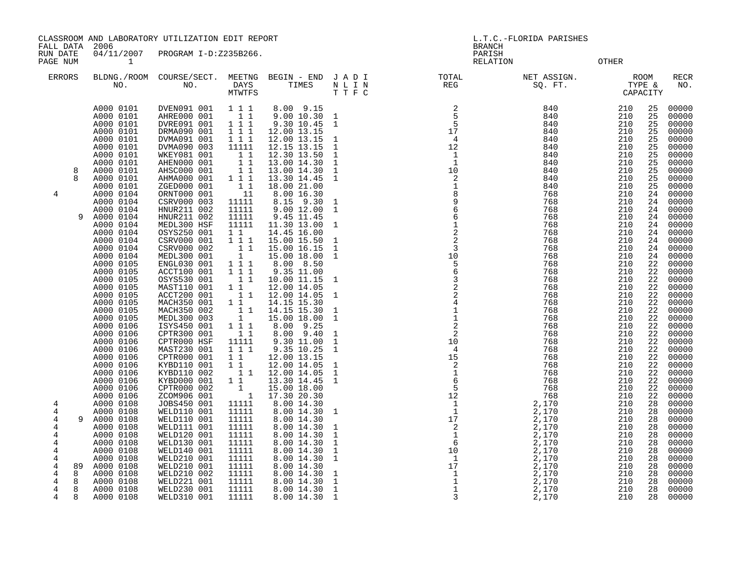CLASSROOM AND LABORATORY UTILIZATION EDIT REPORT LETTER LORIDA PARISHES L.T.C.-FLORIDA PARISHES

FALL DATA 2006 BRANCH

RUN DATE 04/11/2007 PROGRAM I-D:Z235B266.<br>PAGE NUM 1 PAGE NUM 1 RELATION OTHER

| ERRORS              | BLDNG./ROOM<br>NO.     | COURSE/SECT.<br>NO.        | MEETNG<br><b>DAYS</b><br>MTWTFS | BEGIN - END<br>TIMES       | JADI<br>N L I N<br>TTFC      | TOTAL<br><b>REG</b>                   | NET ASSIGN.<br>SQ. FT. |            | ROOM<br>TYPE &<br>CAPACITY | RECR<br>NO.    |
|---------------------|------------------------|----------------------------|---------------------------------|----------------------------|------------------------------|---------------------------------------|------------------------|------------|----------------------------|----------------|
|                     | A000 0101              | DVEN091 001                | 111                             | 8.00 9.15                  |                              |                                       | 840                    | 210        | 25                         | 00000          |
|                     | A000 0101              | AHRE000 001                | 11                              | 9.00 10.30                 | $\mathbf{1}$                 | 5<br>- 5                              | 840                    | 210        | 25                         | 00000          |
|                     | A000 0101<br>A000 0101 | DVRE091 001<br>DRMA090 001 | 111<br>1 1 1                    | 9.30 10.45<br>12.00 13.15  | $\mathbf{1}$                 | 17                                    | 840<br>840             | 210<br>210 | 25<br>25                   | 00000<br>00000 |
|                     | A000 0101              | DVMA091 001                | 111                             | 12.00 13.15                | $\mathbf{1}$                 | $\overline{4}$                        | 840                    | 210        | 25                         | 00000          |
|                     | A000 0101              | DVMA090 003                | 11111                           | 12.15 13.15                | $\mathbf 1$                  | 12                                    | 840                    | 210        | 25                         | 00000          |
|                     | A000 0101              | WKEY081 001                | $1\quad1$                       | 12.30 13.50                | $\mathbf{1}$                 | - 1                                   | 840                    | 210        | 25                         | 00000          |
|                     | A000 0101              | AHEN000 001                | $1\quad1$                       | 13.00 14.30                | $\mathbf{1}$                 | 1                                     | 840                    | 210        | 25                         | 00000          |
| 8                   | A000 0101              | AHSC000 001                | $1\quad1$                       | 13.00 14.30                | $1\,$                        | 10                                    | 840                    | 210        | 25                         | 00000          |
|                     | A000 0101              | AHMA000 001                | 1 1 1                           | 13.30 14.45                | $\mathbf{1}$                 | 2                                     | 840                    | 210        | 25                         | 00000          |
|                     | A000 0101              | ZGED000 001                | $1\quad1$                       | 18.00 21.00                |                              | 1                                     | 840                    | 210        | 25                         | 00000          |
| 4                   | A000 0104              | ORNT000 001                | - 11                            | 8.00 16.30                 |                              | $\,8\,$                               | 768                    | 210        | 24                         | 00000          |
|                     | A000 0104              | CSRV000 003                | 11111                           | 8.15 9.30                  | $\mathbf{1}$                 | $\begin{array}{c} 9 \\ 6 \end{array}$ | 768                    | 210        | 24                         | 00000          |
|                     | A000 0104              | HNUR211 002                | 11111                           | 9.00 12.00                 | $\mathbf{1}$                 |                                       | 768                    | 210        | 24                         | 00000          |
|                     | A000 0104<br>9         | HNUR211 002                | 11111                           | 9.45 11.45                 |                              | $\sqrt{6}$                            | 768                    | 210        | 24                         | 00000          |
|                     | A000 0104              | MEDL300 HSF                | 11111                           | 11.30 13.00                | $\mathbf{1}$                 | $\mathbf 1$                           | 768                    | 210        | 24                         | 00000          |
|                     | A000 0104              | OSYS250 001                | 1 1                             | 14.45 16.00                |                              | $\frac{2}{2}$                         | 768                    | 210        | 24                         | 00000          |
|                     | A000 0104              | CSRV000 001                | 1 1 1                           | 15.00 15.50                | $\mathbf 1$                  | $\overline{3}$                        | 768                    | 210        | 24                         | 00000          |
|                     | A000 0104<br>A000 0104 | CSRV000 002<br>MEDL300 001 | $1\quad1$<br>$\mathbf{1}$       | 15.00 16.15<br>15.00 18.00 | $\mathbf{1}$<br>$\mathbf{1}$ | 10                                    | 768<br>768             | 210<br>210 | 24<br>24                   | 00000<br>00000 |
|                     | A000 0105              | ENGL030 001                | 111                             | 8.00 8.50                  |                              | 5                                     | 768                    | 210        | 22                         | 00000          |
|                     | A000 0105              | ACCT100 001                | $1 1 1$                         | 9.35 11.00                 |                              | $\epsilon$                            | 768                    | 210        | 22                         | 00000          |
|                     | A000 0105              | OSYS530 001                | 11                              | 10.00 11.15                | 1                            | $\overline{3}$                        | 768                    | 210        | 22                         | 00000          |
|                     | A000 0105              | MAST110 001                | 11                              | 12.00 14.05                |                              | $\overline{2}$                        | 768                    | 210        | 22                         | 00000          |
|                     | A000 0105              | ACCT200 001                | $1\quad1$                       | 12.00 14.05                | $\mathbf{1}$                 |                                       | 768                    | 210        | 22                         | 00000          |
|                     | A000 0105              | MACH350 001                | $1\quad1$                       | 14.15 15.30                |                              | $_4^2$                                | 768                    | 210        | 22                         | 00000          |
|                     | A000 0105              | MACH350 002                | 11                              | 14.15 15.30                | $\mathbf{1}$                 | $\mathbf 1$                           | 768                    | 210        | 22                         | 00000          |
|                     | A000 0105              | MEDL300 003                | $\mathbf{1}$                    | 15.00 18.00                | $\mathbf{1}$                 | $\,1\,$                               | 768                    | 210        | 22                         | 00000          |
|                     | A000 0106              | ISYS450 001                | 1 1 1                           | 8.00 9.25                  |                              | $\overline{2}$                        | 768                    | 210        | 22                         | 00000          |
|                     | A000 0106              | CPTR300 001                | 11                              | 8.00 9.40                  | $1\,$                        | 2                                     | 768                    | 210        | 22                         | 00000          |
|                     | A000 0106              | CPTR000 HSF                | 11111                           | 9.30 11.00                 | $\mathbf{1}$<br>$\mathbf{1}$ | 10                                    | 768                    | 210        | 22                         | 00000          |
|                     | A000 0106<br>A000 0106 | MAST230 001                | 1 1 1<br>1 1                    | 9.35 10.25<br>12.00 13.15  |                              | $\overline{4}$<br>15                  | 768<br>768             | 210<br>210 | 22<br>22                   | 00000          |
|                     | A000 0106              | CPTR000 001<br>KYBD110 001 | $1\quad1$                       | 12.00 14.05                | $\mathbf{1}$                 | $\overline{\phantom{a}}$              | 768                    | 210        | 22                         | 00000<br>00000 |
|                     | A000 0106              | KYBD110 002                | 11                              | 12.00 14.05                | $\mathbf{1}$                 | $\mathbf{1}$                          | 768                    | 210        | 22                         | 00000          |
|                     | A000 0106              | KYBD000 001                | $1\quad1$                       | 13.30 14.45                | $\mathbf{1}$                 | $6\phantom{1}6$                       | 768                    | 210        | 22                         | 00000          |
|                     | A000 0106              | CPTR000 002                | 1                               | 15.00 18.00                |                              | 5                                     | 768                    | 210        | 22                         | 00000          |
|                     | A000 0106              | ZCOM906 001                | $\overline{\phantom{0}}$ 1      | 17.30 20.30                |                              | 12                                    | 768                    | 210        | 22                         | 00000          |
| 4                   | A000 0108              | JOBS450 001                | 11111                           | 8.00 14.30                 |                              | $\mathbf{1}$                          | 2,170                  | 210        | 28                         | 00000          |
| $\overline{4}$      | A000 0108              | WELD110 001                | 11111                           | 8.00 14.30                 | $\mathbf{1}$                 | $\mathbf{1}$                          | 2,170                  | 210        | 28                         | 00000          |
| 4                   | A000 0108<br>9         | WELD110 001                | 11111                           | 8.00 14.30                 |                              | 17                                    | 2,170                  | 210        | 28                         | 00000          |
| 4                   | A000 0108              | WELD111 001                | 11111                           | 8.00 14.30                 | $\mathbf{1}$                 | $\overline{c}$                        | 2,170                  | 210        | 28                         | 00000          |
| 4                   | A000 0108              | WELD120 001                | 11111                           | 8.00 14.30                 | $\mathbf{1}$                 | <sup>1</sup>                          | 2,170                  | 210        | 28                         | 00000          |
| 4                   | A000 0108              | WELD130 001                | 11111                           | 8.00 14.30                 | $\mathbf{1}$                 | 6                                     | 2,170                  | 210        | 28                         | 00000          |
| 4                   | A000 0108<br>A000 0108 | WELD140 001<br>WELD210 001 | 11111<br>11111                  | 8.00 14.30<br>8.00 14.30   | $\mathbf{1}$                 | 10<br>-1                              | 2,170<br>2,170         | 210<br>210 | 28                         | 00000          |
| 4<br>4              | A000 0108<br>89        | WELD210 001                | 11111                           | 8.00 14.30                 | $\mathbf{1}$                 | 17                                    | 2,170                  | 210        | 28<br>28                   | 00000<br>00000 |
| 4<br>8              | A000 0108              | WELD210 002                | 11111                           | 8.00 14.30                 | $\mathbf 1$                  | 1                                     | 2,170                  | 210        | 28                         | 00000          |
| $\overline{4}$<br>8 | A000 0108              | WELD221 001                | 11111                           | 8.00 14.30                 | $\mathbf 1$                  |                                       | 2,170                  | 210        | 28                         | 00000          |
| 4<br>8              | A000 0108              | WELD230 001                | 11111                           | 8.00 14.30                 | $\mathbf{1}$                 | 1                                     | 2,170                  | 210        | 28                         | 00000          |
| 4<br>Я              | A000 0108              | <b>WELD310 001</b>         | 11111                           | 8.00 14.30                 | $\mathbf{1}$                 | 3                                     | 2,170                  | 210        | 28                         | 00000          |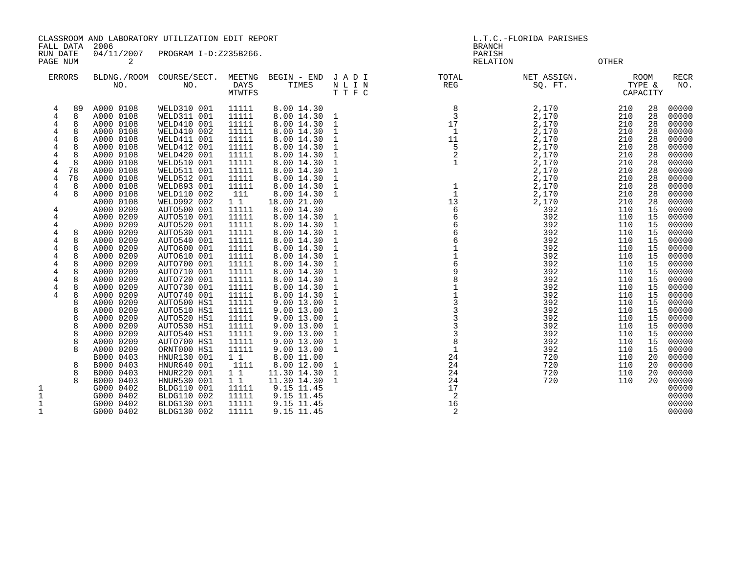CLASSROOM AND LABORATORY UTILIZATION EDIT REPORT LETTER LORIDA PARISHES L.T.C.-FLORIDA PARISHES

FALL DATA 2006 BRANCH

RUN DATE 04/11/2007 PROGRAM I-D:Z235B266.<br>PAGENUM 2 PAGE NUM 2 RELATION OTHER

|                                                                                                                         | <b>ERRORS</b>                                                                                                                     | BLDNG./ROOM<br>NO.                                                                                                                                                                                                                                                                                                                                                                                                                                     | COURSE/SECT.<br>NO.                                                                                                                                                                                                                                                                                                                                                                                                                                                                                                               | MEETNG<br><b>DAYS</b><br>MTWTFS                                                                                                                                                                                                                                                                                     | BEGIN - END<br>TIMES                                                                                                                                                                                                                                                                                                                                                                                                                                                                      | JADI<br>N L I N<br>TTFC                                                                                                                                                                                                                                                                                                                                             | TOTAL<br>REG                                                                                                                      | NET ASSIGN.<br>SQ. FT.                                                                                                                                                                                                                                               |                                                                                                                                                                                                                                            | <b>ROOM</b><br>TYPE &<br>CAPACITY                                                                                                                                                                        | <b>RECR</b><br>NO.                                                                                                                                                                                                                                                                                             |
|-------------------------------------------------------------------------------------------------------------------------|-----------------------------------------------------------------------------------------------------------------------------------|--------------------------------------------------------------------------------------------------------------------------------------------------------------------------------------------------------------------------------------------------------------------------------------------------------------------------------------------------------------------------------------------------------------------------------------------------------|-----------------------------------------------------------------------------------------------------------------------------------------------------------------------------------------------------------------------------------------------------------------------------------------------------------------------------------------------------------------------------------------------------------------------------------------------------------------------------------------------------------------------------------|---------------------------------------------------------------------------------------------------------------------------------------------------------------------------------------------------------------------------------------------------------------------------------------------------------------------|-------------------------------------------------------------------------------------------------------------------------------------------------------------------------------------------------------------------------------------------------------------------------------------------------------------------------------------------------------------------------------------------------------------------------------------------------------------------------------------------|---------------------------------------------------------------------------------------------------------------------------------------------------------------------------------------------------------------------------------------------------------------------------------------------------------------------------------------------------------------------|-----------------------------------------------------------------------------------------------------------------------------------|----------------------------------------------------------------------------------------------------------------------------------------------------------------------------------------------------------------------------------------------------------------------|--------------------------------------------------------------------------------------------------------------------------------------------------------------------------------------------------------------------------------------------|----------------------------------------------------------------------------------------------------------------------------------------------------------------------------------------------------------|----------------------------------------------------------------------------------------------------------------------------------------------------------------------------------------------------------------------------------------------------------------------------------------------------------------|
| 4<br>4<br>4<br>4<br>4<br>4<br>4<br>4<br>4<br>4<br>4<br>4<br>4<br>4<br>4<br>4<br>4<br>4<br>4<br>4<br>$\overline{4}$<br>4 | 89<br>8<br>8<br>8<br>8<br>8<br>8<br>78<br>78<br>8<br>8<br>8<br>8<br>8<br>8<br>8<br>8<br>8<br>8<br>8<br>8<br>8<br>8<br>8<br>8<br>8 | A000 0108<br>A000 0108<br>A000 0108<br>A000 0108<br>A000 0108<br>A000 0108<br>A000 0108<br>A000 0108<br>A000 0108<br>A000 0108<br>A000 0108<br>A000 0108<br>A000 0108<br>A000 0209<br>A000 0209<br>A000 0209<br>A000 0209<br>A000 0209<br>A000 0209<br>A000 0209<br>A000 0209<br>A000 0209<br>A000 0209<br>A000 0209<br>A000 0209<br>A000 0209<br>A000 0209<br>A000 0209<br>A000 0209<br>A000 0209<br>A000 0209<br>A000 0209<br>B000 0403<br>B000 0403 | WELD310 001<br>WELD311 001<br>WELD410 001<br>WELD410 002<br>WELD411 001<br>WELD412 001<br><b>WELD420 001</b><br>WELD510 001<br>WELD511 001<br>WELD512 001<br>WELD893 001<br>WELD110 002<br>WELD992 002<br>AUTO500 001<br>AUTO510 001<br>AUTO520 001<br>AUTO530 001<br>AUTO540 001<br>AUTO600 001<br>AUTO610 001<br>AUTO700 001<br>AUTO710 001<br>AUTO720 001<br>AUTO730 001<br>AUTO740 001<br>AUTO500 HS1<br>AUTO510 HS1<br>AUTO520 HS1<br>AUTO530 HS1<br>AUTO540 HS1<br>AUTO700 HS1<br>ORNT000 HS1<br>HNUR130 001<br>HNUR640 001 | 11111<br>11111<br>11111<br>11111<br>11111<br>11111<br>11111<br>11111<br>11111<br>11111<br>11111<br>111<br>$1\quad1$<br>11111<br>11111<br>11111<br>11111<br>11111<br>11111<br>11111<br>11111<br>11111<br>11111<br>11111<br>11111<br>11111<br>11111<br>11111<br>11111<br>11111<br>11111<br>11111<br>$1\quad1$<br>1111 | 8.00 14.30<br>8.00 14.30<br>8.00 14.30<br>8.00 14.30<br>8.00 14.30<br>8.00 14.30<br>8.00 14.30<br>8.00 14.30<br>8.00 14.30<br>8.00 14.30<br>8.00 14.30<br>8.00 14.30<br>18.00 21.00<br>8.00 14.30<br>8.00 14.30<br>8.00 14.30<br>8.00 14.30<br>8.00 14.30<br>8.00 14.30<br>8.00 14.30<br>8.00 14.30<br>8.00 14.30<br>8.00 14.30<br>8.00 14.30<br>8.00 14.30<br>9.00 13.00<br>9.00 13.00<br>9.00 13.00<br>9.00 13.00<br>9.00 13.00<br>9.00 13.00<br>9.00 13.00<br>8.00 11.00<br>8.00 12.00 | 1<br>$\mathbf{1}$<br>$\mathbf{1}$<br>$\mathbf{1}$<br>1<br>$\mathbf{1}$<br>$\mathbf 1$<br>1<br>$\mathbf{1}$<br>$\mathbf 1$<br>1<br>$\mathbf 1$<br>$\mathbf{1}$<br>$\mathbf 1$<br>1<br>$\mathbf 1$<br>$\mathbf 1$<br>1<br>1<br>$\mathbf 1$<br>$\mathbf{1}$<br>1<br>$\mathbf 1$<br>$\mathbf{1}$<br>1<br>$\mathbf 1$<br>$\mathbf 1$<br>1<br>$\mathbf{1}$<br>$\mathbf 1$ | 8<br>3<br>17<br>$\mathbf{1}$<br>11<br>5<br>$\mathbf{1}$<br>$\mathbf{1}$<br>13<br>6<br>6<br>6<br>6<br>9<br>3<br>3<br>8<br>24<br>24 | 2,170<br>2,170<br>2,170<br>2,170<br>2,170<br>2,170<br>2,170<br>2,170<br>2,170<br>2,170<br>2,170<br>2,170<br>2,170<br>392<br>392<br>392<br>392<br>392<br>392<br>392<br>392<br>392<br>392<br>392<br>392<br>392<br>392<br>392<br>392<br>392<br>392<br>392<br>720<br>720 | 210<br>210<br>210<br>210<br>210<br>210<br>210<br>210<br>210<br>210<br>210<br>210<br>210<br>110<br>110<br>110<br>110<br>110<br>110<br>110<br>110<br>110<br>110<br>110<br>110<br>110<br>110<br>110<br>110<br>110<br>110<br>110<br>110<br>110 | 28<br>28<br>28<br>28<br>28<br>28<br>28<br>28<br>28<br>28<br>28<br>28<br>28<br>15<br>15<br>15<br>15<br>15<br>15<br>15<br>15<br>15<br>15<br>15<br>15<br>15<br>15<br>15<br>15<br>15<br>15<br>15<br>20<br>20 | 00000<br>00000<br>00000<br>00000<br>00000<br>00000<br>00000<br>00000<br>00000<br>00000<br>00000<br>00000<br>00000<br>00000<br>00000<br>00000<br>00000<br>00000<br>00000<br>00000<br>00000<br>00000<br>00000<br>00000<br>00000<br>00000<br>00000<br>00000<br>00000<br>00000<br>00000<br>00000<br>00000<br>00000 |
| 1<br>$\mathbf{1}$<br>1<br>1                                                                                             | 8<br>8                                                                                                                            | B000 0403<br>B000 0403<br>G000 0402<br>G000 0402<br>G000 0402<br>G000 0402                                                                                                                                                                                                                                                                                                                                                                             | HNUR220 001<br>HNUR530 001<br>BLDG110 001<br>BLDG110 002<br>BLDG130 001<br>BLDG130 002                                                                                                                                                                                                                                                                                                                                                                                                                                            | $1\quad1$<br>$1\quad1$<br>11111<br>11111<br>11111<br>11111                                                                                                                                                                                                                                                          | 11.30 14.30<br>11.30 14.30<br>9.15 11.45<br>9.15 11.45<br>9.15 11.45<br>9.15 11.45                                                                                                                                                                                                                                                                                                                                                                                                        | $\mathbf{1}$<br>$\mathbf{1}$                                                                                                                                                                                                                                                                                                                                        | 24<br>24<br>17<br>2<br>16<br>2                                                                                                    | 720<br>720                                                                                                                                                                                                                                                           | 110<br>110                                                                                                                                                                                                                                 | 20<br>20                                                                                                                                                                                                 | 00000<br>00000<br>00000<br>00000<br>00000<br>00000                                                                                                                                                                                                                                                             |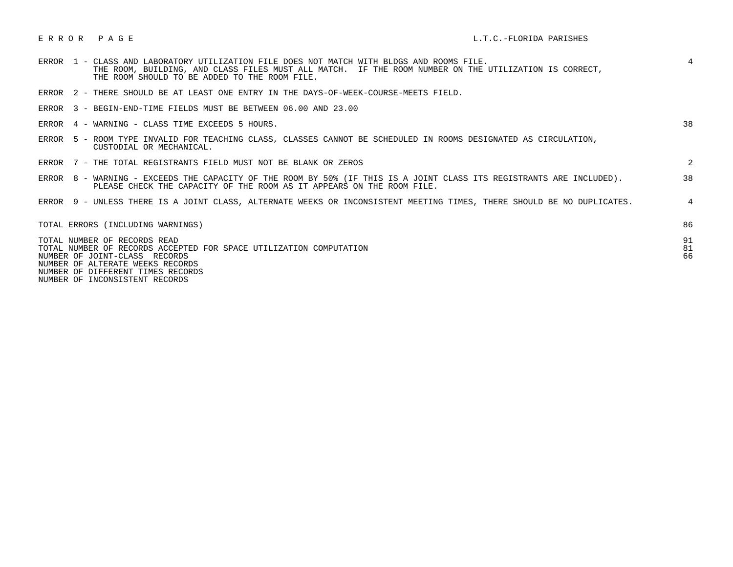| ERROR 1 - CLASS AND LABORATORY UTILIZATION FILE DOES NOT MATCH WITH BLDGS AND ROOMS FILE.<br>THE ROOM, BUILDING, AND CLASS FILES MUST ALL MATCH. IF THE ROOM NUMBER ON THE UTILIZATION IS CORRECT,<br>THE ROOM SHOULD TO BE ADDED TO THE ROOM FILE. | 4              |
|-----------------------------------------------------------------------------------------------------------------------------------------------------------------------------------------------------------------------------------------------------|----------------|
| ERROR 2 - THERE SHOULD BE AT LEAST ONE ENTRY IN THE DAYS-OF-WEEK-COURSE-MEETS FIELD.                                                                                                                                                                |                |
| ERROR 3 - BEGIN-END-TIME FIELDS MUST BE BETWEEN 06.00 AND 23.00                                                                                                                                                                                     |                |
| ERROR 4 - WARNING - CLASS TIME EXCEEDS 5 HOURS.                                                                                                                                                                                                     | 38             |
| ERROR 5 - ROOM TYPE INVALID FOR TEACHING CLASS, CLASSES CANNOT BE SCHEDULED IN ROOMS DESIGNATED AS CIRCULATION,<br>CUSTODIAL OR MECHANICAL.                                                                                                         |                |
| ERROR 7 - THE TOTAL REGISTRANTS FIELD MUST NOT BE BLANK OR ZEROS                                                                                                                                                                                    | 2              |
| ERROR 8 - WARNING - EXCEEDS THE CAPACITY OF THE ROOM BY 50% (IF THIS IS A JOINT CLASS ITS REGISTRANTS ARE INCLUDED).<br>PLEASE CHECK THE CAPACITY OF THE ROOM AS IT APPEARS ON THE ROOM FILE.                                                       | 38             |
| ERROR 9 - UNLESS THERE IS A JOINT CLASS, ALTERNATE WEEKS OR INCONSISTENT MEETING TIMES, THERE SHOULD BE NO DUPLICATES.                                                                                                                              | $4^{\circ}$    |
| TOTAL ERRORS (INCLUDING WARNINGS)                                                                                                                                                                                                                   | 86             |
| TOTAL NUMBER OF RECORDS READ<br>TOTAL NUMBER OF RECORDS ACCEPTED FOR SPACE UTILIZATION COMPUTATION<br>NUMBER OF JOINT-CLASS RECORDS<br>NUMBER OF ALTERATE WEEKS RECORDS<br>NUMBER OF DIFFERENT TIMES RECORDS<br>NUMBER OF INCONSISTENT RECORDS      | 91<br>81<br>66 |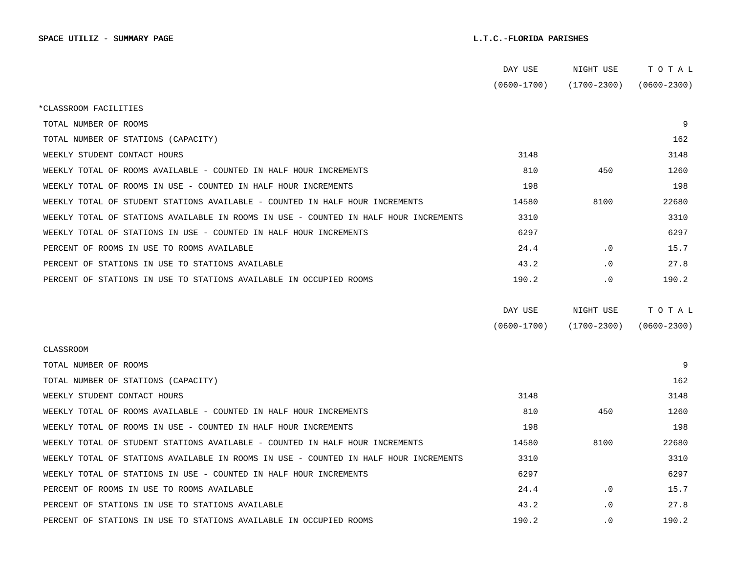|                                                                                      | DAY USE         | NIGHT USE       | тотаь           |
|--------------------------------------------------------------------------------------|-----------------|-----------------|-----------------|
|                                                                                      | $(0600 - 1700)$ | (1700-2300)     | $(0600 - 2300)$ |
| *CLASSROOM FACILITIES                                                                |                 |                 |                 |
| TOTAL NUMBER OF ROOMS                                                                |                 |                 | 9               |
| TOTAL NUMBER OF STATIONS (CAPACITY)                                                  |                 |                 | 162             |
| WEEKLY STUDENT CONTACT HOURS                                                         | 3148            |                 | 3148            |
| WEEKLY TOTAL OF ROOMS AVAILABLE - COUNTED IN HALF HOUR INCREMENTS                    | 810             | 450             | 1260            |
| WEEKLY TOTAL OF ROOMS IN USE - COUNTED IN HALF HOUR INCREMENTS                       | 198             |                 | 198             |
| WEEKLY TOTAL OF STUDENT STATIONS AVAILABLE - COUNTED IN HALF HOUR INCREMENTS         | 14580           | 8100            | 22680           |
| WEEKLY TOTAL OF STATIONS AVAILABLE IN ROOMS IN USE - COUNTED IN HALF HOUR INCREMENTS | 3310            |                 | 3310            |
| WEEKLY TOTAL OF STATIONS IN USE - COUNTED IN HALF HOUR INCREMENTS                    | 6297            |                 | 6297            |
| PERCENT OF ROOMS IN USE TO ROOMS AVAILABLE                                           | 24.4            | $\cdot$ 0       | 15.7            |
| PERCENT OF STATIONS IN USE TO STATIONS AVAILABLE                                     | 43.2            | $\cdot$ 0       | 27.8            |
| PERCENT OF STATIONS IN USE TO STATIONS AVAILABLE IN OCCUPIED ROOMS                   | 190.2           | $\cdot$ 0       | 190.2           |
|                                                                                      |                 |                 |                 |
|                                                                                      | DAY USE         | NIGHT USE       | TOTAL           |
|                                                                                      | $(0600 - 1700)$ | $(1700 - 2300)$ | $(0600 - 2300)$ |
| CLASSROOM                                                                            |                 |                 |                 |
| TOTAL NUMBER OF ROOMS                                                                |                 |                 | 9               |
| TOTAL NUMBER OF STATIONS (CAPACITY)                                                  |                 |                 | 162             |
| WEEKLY STUDENT CONTACT HOURS                                                         | 3148            |                 | 3148            |
| WEEKLY TOTAL OF ROOMS AVAILABLE - COUNTED IN HALF HOUR INCREMENTS                    | 810             | 450             | 1260            |
| WEEKLY TOTAL OF ROOMS IN USE - COUNTED IN HALF HOUR INCREMENTS                       | 198             |                 | 198             |
| WEEKLY TOTAL OF STUDENT STATIONS AVAILABLE - COUNTED IN HALF HOUR INCREMENTS         | 14580           | 8100            | 22680           |
| WEEKLY TOTAL OF STATIONS AVAILABLE IN ROOMS IN USE - COUNTED IN HALF HOUR INCREMENTS | 3310            |                 | 3310            |
| WEEKLY TOTAL OF STATIONS IN USE - COUNTED IN HALF HOUR INCREMENTS                    | 6297            |                 | 6297            |
| PERCENT OF ROOMS IN USE TO ROOMS AVAILABLE                                           | 24.4            | $\cdot$ 0       | 15.7            |
| PERCENT OF STATIONS IN USE TO STATIONS AVAILABLE                                     | 43.2            | $\cdot$ 0       | 27.8            |
| PERCENT OF STATIONS IN USE TO STATIONS AVAILABLE IN OCCUPIED ROOMS                   | 190.2           | $\cdot$ 0       | 190.2           |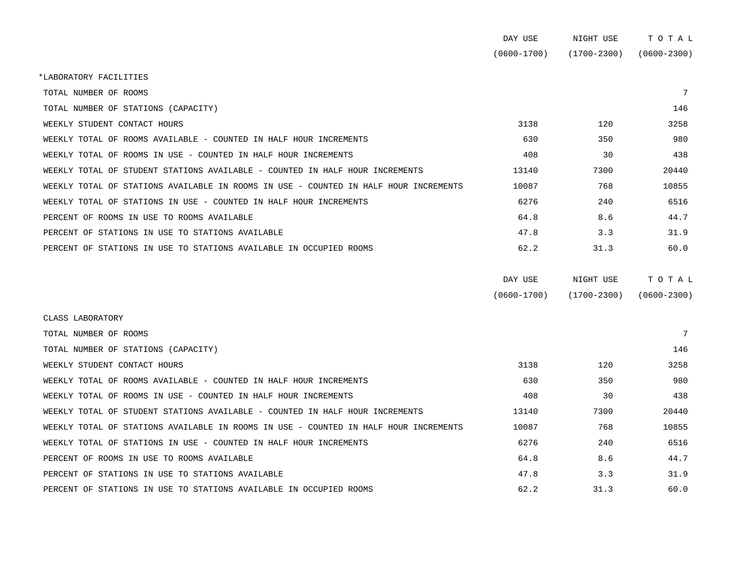|                                                                                      | DAY USE         | NIGHT USE       | TOTAL           |
|--------------------------------------------------------------------------------------|-----------------|-----------------|-----------------|
|                                                                                      | $(0600 - 1700)$ | $(1700 - 2300)$ | $(0600 - 2300)$ |
| *LABORATORY FACILITIES                                                               |                 |                 |                 |
| TOTAL NUMBER OF ROOMS                                                                |                 |                 | 7               |
| TOTAL NUMBER OF STATIONS (CAPACITY)                                                  |                 |                 | 146             |
| WEEKLY STUDENT CONTACT HOURS                                                         | 3138            | 120             | 3258            |
| WEEKLY TOTAL OF ROOMS AVAILABLE - COUNTED IN HALF HOUR INCREMENTS                    | 630             | 350             | 980             |
| WEEKLY TOTAL OF ROOMS IN USE - COUNTED IN HALF HOUR INCREMENTS                       | 408             | 30              | 438             |
| WEEKLY TOTAL OF STUDENT STATIONS AVAILABLE - COUNTED IN HALF HOUR INCREMENTS         | 13140           | 7300            | 20440           |
| WEEKLY TOTAL OF STATIONS AVAILABLE IN ROOMS IN USE - COUNTED IN HALF HOUR INCREMENTS | 10087           | 768             | 10855           |
| WEEKLY TOTAL OF STATIONS IN USE - COUNTED IN HALF HOUR INCREMENTS                    | 6276            | 240             | 6516            |
| PERCENT OF ROOMS IN USE TO ROOMS AVAILABLE                                           | 64.8            | 8.6             | 44.7            |
| PERCENT OF STATIONS IN USE TO STATIONS AVAILABLE                                     | 47.8            | 3.3             | 31.9            |
| PERCENT OF STATIONS IN USE TO STATIONS AVAILABLE IN OCCUPIED ROOMS                   | 62.2            | 31.3            | 60.0            |
|                                                                                      | DAY USE         | NIGHT USE       | TOTAL           |
|                                                                                      | $(0600 - 1700)$ | $(1700 - 2300)$ | $(0600 - 2300)$ |
| CLASS LABORATORY                                                                     |                 |                 |                 |
| TOTAL NUMBER OF ROOMS                                                                |                 |                 | 7               |
| TOTAL NUMBER OF STATIONS (CAPACITY)                                                  |                 |                 | 146             |
| WEEKLY STUDENT CONTACT HOURS                                                         | 3138            | 120             | 3258            |
| WEEKLY TOTAL OF ROOMS AVAILABLE - COUNTED IN HALF HOUR INCREMENTS                    | 630             | 350             | 980             |
| WEEKLY TOTAL OF ROOMS IN USE - COUNTED IN HALF HOUR INCREMENTS                       | 408             | 30              | 438             |
| WEEKLY TOTAL OF STUDENT STATIONS AVAILABLE - COUNTED IN HALF HOUR INCREMENTS         | 13140           | 7300            | 20440           |
| WEEKLY TOTAL OF STATIONS AVAILABLE IN ROOMS IN USE - COUNTED IN HALF HOUR INCREMENTS | 10087           | 768             | 10855           |
| WEEKLY TOTAL OF STATIONS IN USE - COUNTED IN HALF HOUR INCREMENTS                    | 6276            | 240             | 6516            |
| PERCENT OF ROOMS IN USE TO ROOMS AVAILABLE                                           | 64.8            | 8.6             | 44.7            |
| PERCENT OF STATIONS IN USE TO STATIONS AVAILABLE                                     | 47.8            | 3.3             | 31.9            |

PERCENT OF STATIONS IN USE TO STATIONS AVAILABLE IN OCCUPIED ROOMS 62.2 60.0